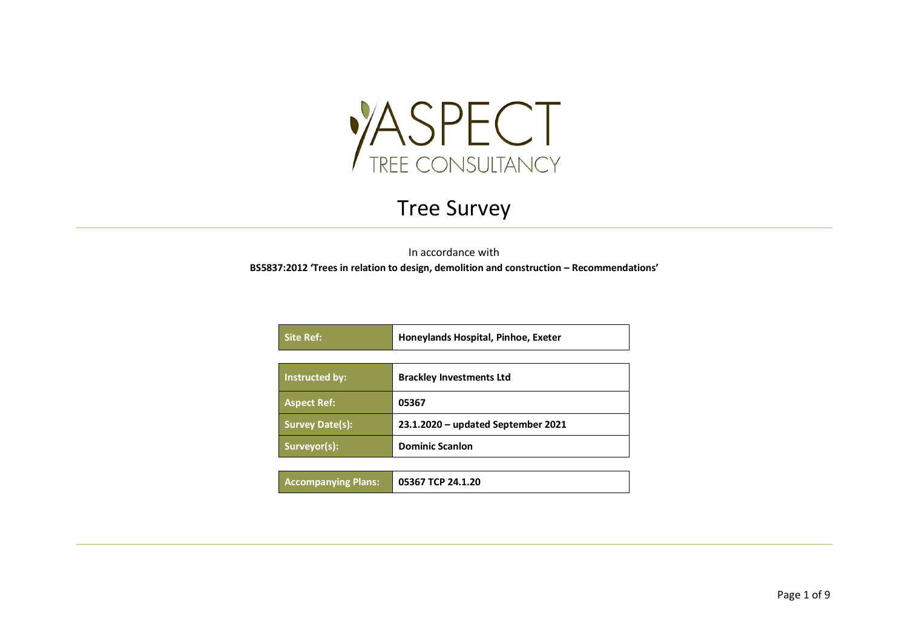

## Tree Survey

In accordance with

**BS5837:2012 'Trees in relation to design, demolition and construction – Recommendations'**

| <b>Site Ref:</b>       | Honeylands Hospital, Pinhoe, Exeter |  |  |  |  |
|------------------------|-------------------------------------|--|--|--|--|
|                        |                                     |  |  |  |  |
| Instructed by:         | <b>Brackley Investments Ltd</b>     |  |  |  |  |
| <b>Aspect Ref:</b>     | 05367                               |  |  |  |  |
| <b>Survey Date(s):</b> | 23.1.2020 - updated September 2021  |  |  |  |  |
| Surveyor(s):           | <b>Dominic Scanlon</b>              |  |  |  |  |
|                        |                                     |  |  |  |  |

| <b>Accompanying Plans:</b> | $\vert$ 05367 TCP 24.1.20 |
|----------------------------|---------------------------|
|----------------------------|---------------------------|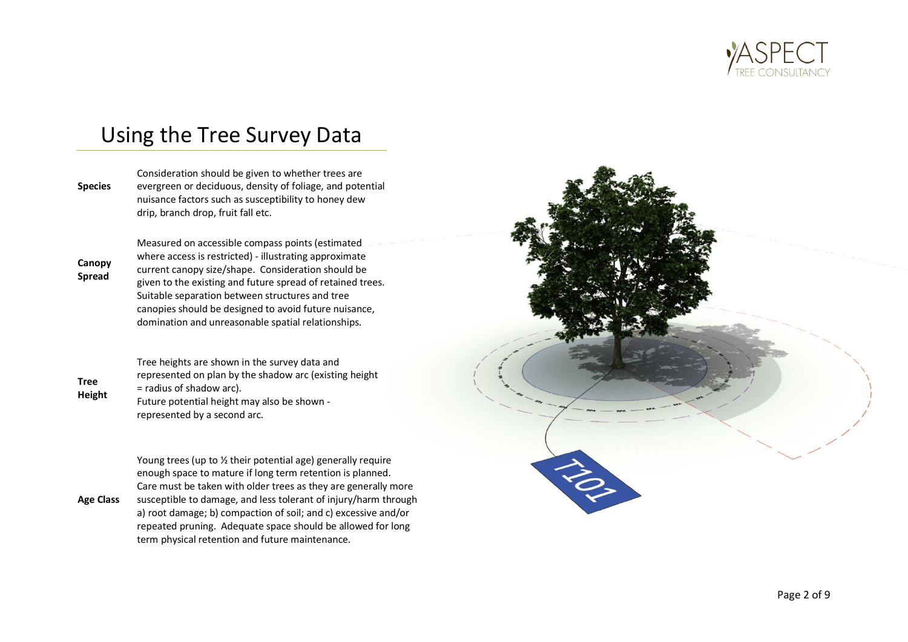

### Using the Tree Survey Data

**Species** Consideration should be given to whether trees are evergreen or deciduous, density of foliage, and potential nuisance factors such as susceptibility to honey dew drip, branch drop, fruit fall etc.

**Canopy Spread**

Measured on accessible compass points (estimated where access is restricted) - illustrating approximate current canopy size/shape. Consideration should be given to the existing and future spread of retained trees. Suitable separation between structures and tree canopies should be designed to avoid future nuisance, domination and unreasonable spatial relationships.

**Tree Height**

Tree heights are shown in the survey data and represented on plan by the shadow arc (existing height = radius of shadow arc). Future potential height may also be shown represented by a second arc.

Young trees (up to ½ their potential age) generally require enough space to mature if long term retention is planned. Care must be taken with older trees as they are generally more

**Age Class** susceptible to damage, and less tolerant of injury/harm through a) root damage; b) compaction of soil; and c) excessive and/or repeated pruning. Adequate space should be allowed for long term physical retention and future maintenance.

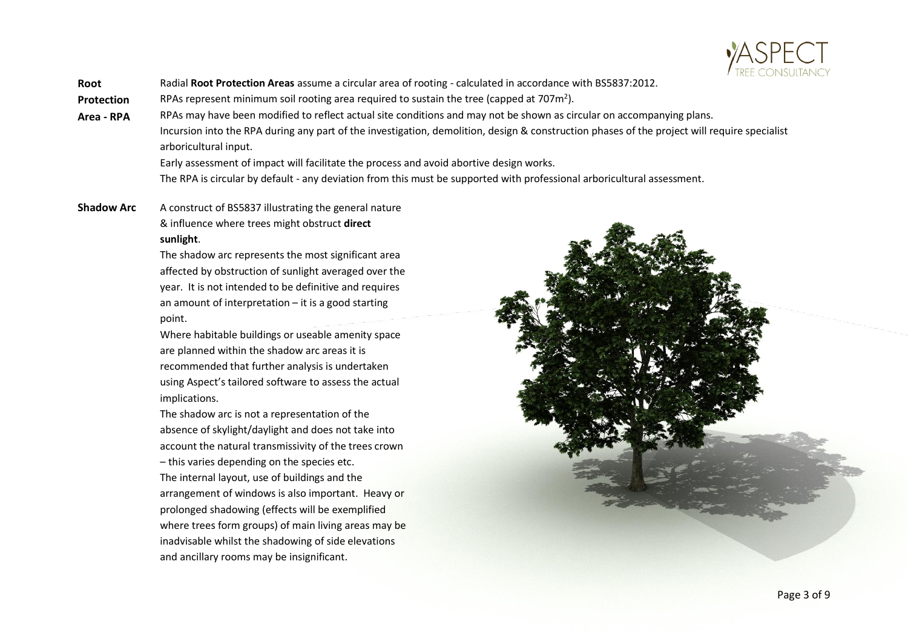

**Root**  Radial **Root Protection Areas** assume a circular area of rooting - calculated in accordance with BS5837:2012.

**Protection**  RPAs represent minimum soil rooting area required to sustain the tree (capped at 707 $m^2$ ).

**Area - RPA** RPAs may have been modified to reflect actual site conditions and may not be shown as circular on accompanying plans. Incursion into the RPA during any part of the investigation, demolition, design & construction phases of the project will require specialist arboricultural input.

Early assessment of impact will facilitate the process and avoid abortive design works.

The RPA is circular by default - any deviation from this must be supported with professional arboricultural assessment.

**Shadow Arc** A construct of BS5837 illustrating the general nature & influence where trees might obstruct **direct sunlight**.

> The shadow arc represents the most significant area affected by obstruction of sunlight averaged over the year. It is not intended to be definitive and requires an amount of interpretation – it is a good starting point.

Where habitable buildings or useable amenity space are planned within the shadow arc areas it is recommended that further analysis is undertaken using Aspect's tailored software to assess the actual implications.

The shadow arc is not a representation of the absence of skylight/daylight and does not take into account the natural transmissivity of the trees crown

– this varies depending on the species etc. The internal layout, use of buildings and the arrangement of windows is also important. Heavy or prolonged shadowing (effects will be exemplified where trees form groups) of main living areas may be inadvisable whilst the shadowing of side elevations and ancillary rooms may be insignificant.

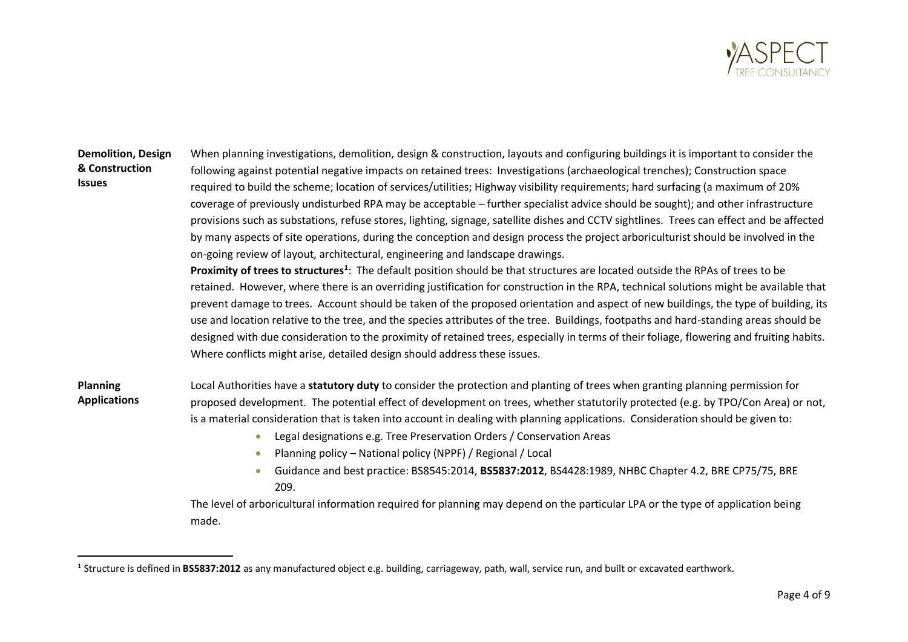

### **Demolition, Design & Construction Issues**

When planning investigations, demolition, design & construction, layouts and configuring buildings it is important to consider the following against potential negative impacts on retained trees: Investigations (archaeological trenches); Construction space required to build the scheme; location of services/utilities; Highway visibility requirements; hard surfacing (a maximum of 20% coverage of previously undisturbed RPA may be acceptable – further specialist advice should be sought); and other infrastructure provisions such as substations, refuse stores, lighting, signage, satellite dishes and CCTV sightlines. Trees can effect and be affected by many aspects of site operations, during the conception and design process the project arboriculturist should be involved in the on-going review of layout, architectural, engineering and landscape drawings.

**Proximity of trees to structures<sup>1</sup>** : The default position should be that structures are located outside the RPAs of trees to be retained. However, where there is an overriding justification for construction in the RPA, technical solutions might be available that prevent damage to trees. Account should be taken of the proposed orientation and aspect of new buildings, the type of building, its use and location relative to the tree, and the species attributes of the tree. Buildings, footpaths and hard-standing areas should be designed with due consideration to the proximity of retained trees, especially in terms of their foliage, flowering and fruiting habits. Where conflicts might arise, detailed design should address these issues.

- **Planning Applications** Local Authorities have a **statutory duty** to consider the protection and planting of trees when granting planning permission for proposed development. The potential effect of development on trees, whether statutorily protected (e.g. by TPO/Con Area) or not, is a material consideration that is taken into account in dealing with planning applications. Consideration should be given to:
	- Legal designations e.g. Tree Preservation Orders / Conservation Areas
	- Planning policy National policy (NPPF) / Regional / Local
	- Guidance and best practice: BS8545:2014, **BS5837:2012**, BS4428:1989, NHBC Chapter 4.2, BRE CP75/75, BRE 209.

The level of arboricultural information required for planning may depend on the particular LPA or the type of application being made.

**<sup>1</sup>** Structure is defined in **BS5837:2012** as any manufactured object e.g. building, carriageway, path, wall, service run, and built or excavated earthwork.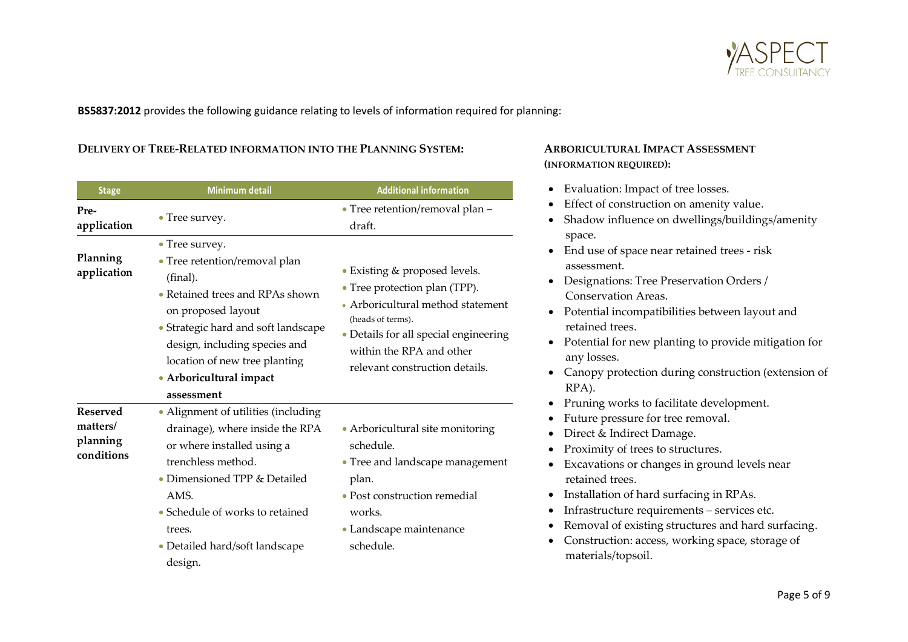

**BS5837:2012** provides the following guidance relating to levels of information required for planning:

#### **DELIVERY OF TREE-RELATED INFORMATION INTO THE PLANNING SYSTEM: ARBORICULTURAL IMPACT ASSESSMENT**

| <b>Stage</b>                                          | <b>Minimum detail</b>                                                                                                                                                                                                                                                  | <b>Additional information</b>                                                                                                                                                                                                   |
|-------------------------------------------------------|------------------------------------------------------------------------------------------------------------------------------------------------------------------------------------------------------------------------------------------------------------------------|---------------------------------------------------------------------------------------------------------------------------------------------------------------------------------------------------------------------------------|
| Pre-<br>application                                   | • Tree survey.                                                                                                                                                                                                                                                         | • Tree retention/removal plan -<br>draft.                                                                                                                                                                                       |
| Planning<br>application                               | • Tree survey.<br>• Tree retention/removal plan<br>(final).<br>• Retained trees and RPAs shown<br>on proposed layout<br>• Strategic hard and soft landscape<br>design, including species and<br>location of new tree planting<br>· Arboricultural impact<br>assessment | • Existing & proposed levels.<br>• Tree protection plan (TPP).<br>• Arboricultural method statement<br>(heads of terms).<br>• Details for all special engineering<br>within the RPA and other<br>relevant construction details. |
| <b>Reserved</b><br>matters/<br>planning<br>conditions | • Alignment of utilities (including<br>drainage), where inside the RPA<br>or where installed using a<br>trenchless method.<br>• Dimensioned TPP & Detailed<br>AMS.<br>• Schedule of works to retained<br>trees.<br>• Detailed hard/soft landscape<br>design.           | • Arboricultural site monitoring<br>schedule.<br>• Tree and landscape management<br>plan.<br>• Post construction remedial<br>works.<br>• Landscape maintenance<br>schedule.                                                     |

# **(INFORMATION REQUIRED):**

- Evaluation: Impact of tree losses.
- Effect of construction on amenity value.
- Shadow influence on dwellings/buildings/amenity space.
- End use of space near retained trees risk assessment.
- Designations: Tree Preservation Orders / Conservation Areas.
- Potential incompatibilities between layout and retained trees.
- Potential for new planting to provide mitigation for any losses.
- Canopy protection during construction (extension of RPA).
- Pruning works to facilitate development.
- Future pressure for tree removal.
- Direct & Indirect Damage.
- Proximity of trees to structures.
- Excavations or changes in ground levels near retained trees.
- Installation of hard surfacing in RPAs.
- Infrastructure requirements services etc.
- Removal of existing structures and hard surfacing.
- Construction: access, working space, storage of materials/topsoil.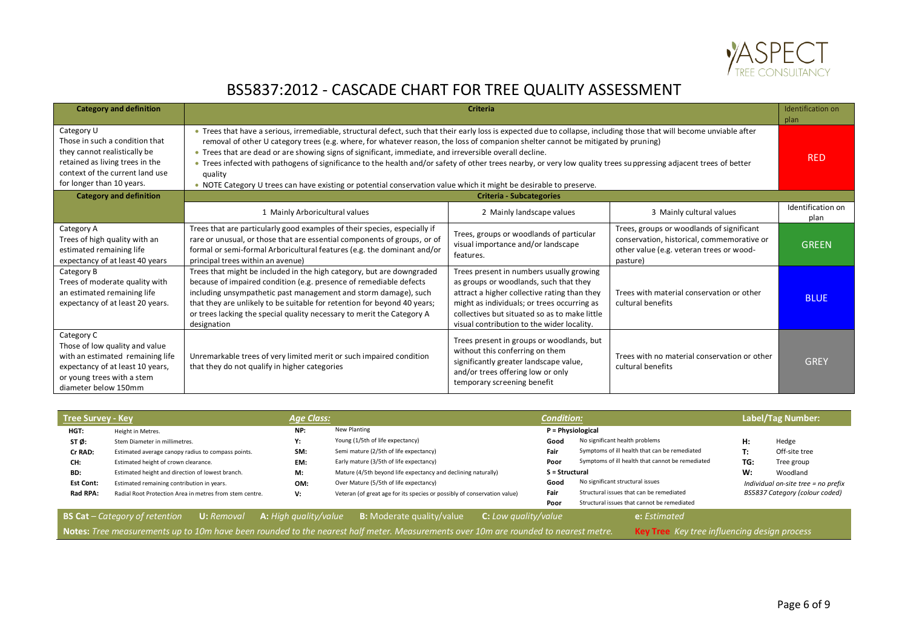

### BS5837:2012 - CASCADE CHART FOR TREE QUALITY ASSESSMENT

| <b>Category and definition</b>                                                                                                                                                  | Identification on<br><b>Criteria</b><br>plan                                                                                                                                                                                                                                                                                                                                                                                                                                                                                                                                                                                                                                                                                |                                                                                                                                                                                                                                                                                  |                                                                                                                                                 |                           |  |  |  |  |  |  |
|---------------------------------------------------------------------------------------------------------------------------------------------------------------------------------|-----------------------------------------------------------------------------------------------------------------------------------------------------------------------------------------------------------------------------------------------------------------------------------------------------------------------------------------------------------------------------------------------------------------------------------------------------------------------------------------------------------------------------------------------------------------------------------------------------------------------------------------------------------------------------------------------------------------------------|----------------------------------------------------------------------------------------------------------------------------------------------------------------------------------------------------------------------------------------------------------------------------------|-------------------------------------------------------------------------------------------------------------------------------------------------|---------------------------|--|--|--|--|--|--|
| Category U<br>Those in such a condition that<br>they cannot realistically be<br>retained as living trees in the<br>context of the current land use<br>for longer than 10 years. | . Trees that have a serious, irremediable, structural defect, such that their early loss is expected due to collapse, including those that will become unviable after<br>removal of other U category trees (e.g. where, for whatever reason, the loss of companion shelter cannot be mitigated by pruning)<br>. Trees that are dead or are showing signs of significant, immediate, and irreversible overall decline.<br>• Trees infected with pathogens of significance to the health and/or safety of other trees nearby, or very low quality trees suppressing adjacent trees of better<br>quality<br>. NOTE Category U trees can have existing or potential conservation value which it might be desirable to preserve. |                                                                                                                                                                                                                                                                                  |                                                                                                                                                 |                           |  |  |  |  |  |  |
| <b>Category and definition</b>                                                                                                                                                  | <b>Criteria - Subcategories</b>                                                                                                                                                                                                                                                                                                                                                                                                                                                                                                                                                                                                                                                                                             |                                                                                                                                                                                                                                                                                  |                                                                                                                                                 |                           |  |  |  |  |  |  |
|                                                                                                                                                                                 | 1 Mainly Arboricultural values                                                                                                                                                                                                                                                                                                                                                                                                                                                                                                                                                                                                                                                                                              | 2 Mainly landscape values                                                                                                                                                                                                                                                        | 3 Mainly cultural values                                                                                                                        | Identification on<br>plan |  |  |  |  |  |  |
| Category A<br>Trees of high quality with an<br>estimated remaining life<br>expectancy of at least 40 years                                                                      | Trees that are particularly good examples of their species, especially if<br>rare or unusual, or those that are essential components of groups, or of<br>formal or semi-formal Arboricultural features (e.g. the dominant and/or<br>principal trees within an avenue)                                                                                                                                                                                                                                                                                                                                                                                                                                                       | Trees, groups or woodlands of particular<br>visual importance and/or landscape<br>features.                                                                                                                                                                                      | Trees, groups or woodlands of significant<br>conservation, historical, commemorative or<br>other value (e.g. veteran trees or wood-<br>pasture) | <b>GREEN</b>              |  |  |  |  |  |  |
| Category B<br>Trees of moderate quality with<br>an estimated remaining life<br>expectancy of at least 20 years.                                                                 | Trees that might be included in the high category, but are downgraded<br>because of impaired condition (e.g. presence of remediable defects<br>including unsympathetic past management and storm damage), such<br>that they are unlikely to be suitable for retention for beyond 40 years;<br>or trees lacking the special quality necessary to merit the Category A<br>designation                                                                                                                                                                                                                                                                                                                                         | Trees present in numbers usually growing<br>as groups or woodlands, such that they<br>attract a higher collective rating than they<br>might as individuals; or trees occurring as<br>collectives but situated so as to make little<br>visual contribution to the wider locality. | Trees with material conservation or other<br>cultural benefits                                                                                  | <b>BLUE</b>               |  |  |  |  |  |  |
| Category C<br>Those of low quality and value<br>with an estimated remaining life<br>expectancy of at least 10 years,<br>or young trees with a stem<br>diameter below 150mm      | Unremarkable trees of very limited merit or such impaired condition<br>that they do not qualify in higher categories                                                                                                                                                                                                                                                                                                                                                                                                                                                                                                                                                                                                        | Trees present in groups or woodlands, but<br>without this conferring on them<br>significantly greater landscape value,<br>and/or trees offering low or only<br>temporary screening benefit                                                                                       | Trees with no material conservation or other<br>cultural benefits                                                                               | <b>GREY</b>               |  |  |  |  |  |  |

| <b>Tree Survey - Key</b> |                                                            | <b>Age Class:</b>            |                                                                          | <b>Condition:</b> |                                                  |                                     | Label/Tag Number:                                                                                                                                                                          |  |  |  |  |  |  |  |  |  |  |  |
|--------------------------|------------------------------------------------------------|------------------------------|--------------------------------------------------------------------------|-------------------|--------------------------------------------------|-------------------------------------|--------------------------------------------------------------------------------------------------------------------------------------------------------------------------------------------|--|--|--|--|--|--|--|--|--|--|--|
| HGT:                     | Height in Metres.                                          | NP:                          | New Planting                                                             |                   | $P = Physiological$                              |                                     |                                                                                                                                                                                            |  |  |  |  |  |  |  |  |  |  |  |
| STØ:                     | Stem Diameter in millimetres.                              | Υ:                           | Young (1/5th of life expectancy)                                         | Good              | No significant health problems                   | H:                                  | Hedge                                                                                                                                                                                      |  |  |  |  |  |  |  |  |  |  |  |
| Cr RAD:                  | Estimated average canopy radius to compass points.         | SM:                          | Semi mature (2/5th of life expectancy)                                   | Fair              | Symptoms of ill health that can be remediated    | T:                                  | Off-site tree                                                                                                                                                                              |  |  |  |  |  |  |  |  |  |  |  |
| CH:                      | Estimated height of crown clearance.                       | EM:                          | Early mature (3/5th of life expectancy)                                  | Poor              | Symptoms of ill health that cannot be remediated | TG:                                 | Tree group                                                                                                                                                                                 |  |  |  |  |  |  |  |  |  |  |  |
| BD:                      | Estimated height and direction of lowest branch.           | M:                           | Mature (4/5th beyond life expectancy and declining naturally)            | S = Structural    |                                                  | W:                                  | Woodland                                                                                                                                                                                   |  |  |  |  |  |  |  |  |  |  |  |
| <b>Est Cont:</b>         | Estimated remaining contribution in years.                 | OM:                          | Over Mature (5/5th of life expectancy)                                   | Good              | No significant structural issues                 | Individual on-site tree = no prefix |                                                                                                                                                                                            |  |  |  |  |  |  |  |  |  |  |  |
| Rad RPA:                 | Radial Root Protection Area in metres from stem centre.    | V:                           | Veteran (of great age for its species or possibly of conservation value) | Fair              | Structural issues that can be remediated         |                                     | BS5837 Category (colour coded)                                                                                                                                                             |  |  |  |  |  |  |  |  |  |  |  |
|                          |                                                            |                              |                                                                          | Poor              | Structural issues that cannot be remediated      |                                     |                                                                                                                                                                                            |  |  |  |  |  |  |  |  |  |  |  |
|                          | <b>BS Cat</b> – Category of retention<br><b>U:</b> Removal | <b>A:</b> High quality/value | <b>B:</b> Moderate quality/value<br><b>C:</b> Low quality/value          |                   | e: Estimated                                     |                                     |                                                                                                                                                                                            |  |  |  |  |  |  |  |  |  |  |  |
|                          |                                                            |                              |                                                                          |                   |                                                  |                                     | Notes: Tree measurements up to 10m have been rounded to the nearest half meter. Measurements over 10m are rounded to nearest metre.<br><b>Key Tree</b> Key tree influencing design process |  |  |  |  |  |  |  |  |  |  |  |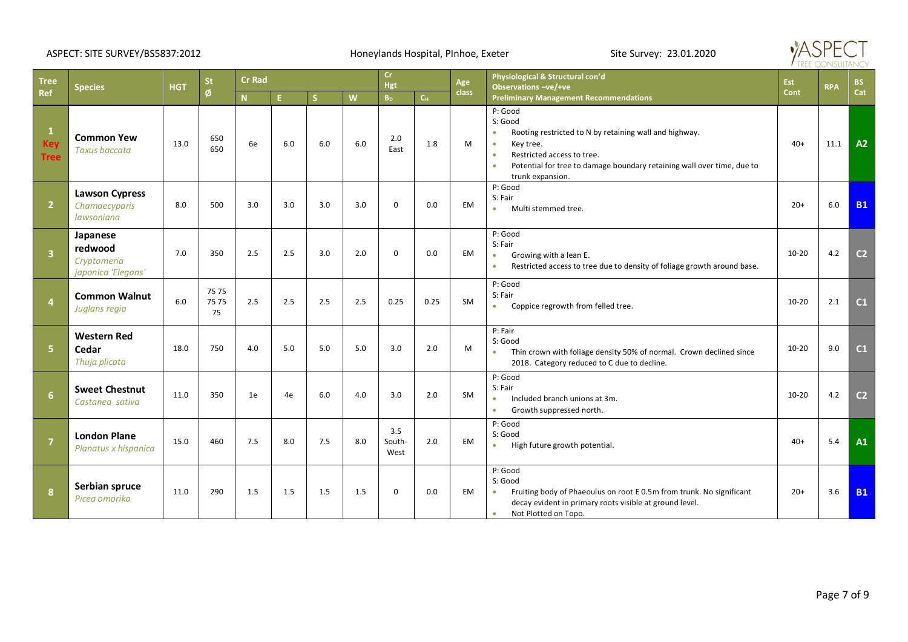### ASPECT: SITE SURVEY/BS5837:2012 <br>
Honeylands Hospital, PInhoe, Exeter Site Survey: 23.01.2020



| <b>Tree</b>               | <b>Species</b>                                           |            | <b>St</b>          | <b>Cr Rad</b> |     |     |     |                       | <b>Cr</b><br>Hgt |              | Physiological & Structural con'd<br>Observations -ve/+ve                                                                                                                                                                                                                  |             | <b>RPA</b> | <b>BS</b>      |
|---------------------------|----------------------------------------------------------|------------|--------------------|---------------|-----|-----|-----|-----------------------|------------------|--------------|---------------------------------------------------------------------------------------------------------------------------------------------------------------------------------------------------------------------------------------------------------------------------|-------------|------------|----------------|
| Ref                       |                                                          | <b>HGT</b> | Ø                  | $\mathbf N$   | E.  | S.  | W   | <b>B</b> <sub>D</sub> | $C_{H}$          | <b>class</b> | <b>Preliminary Management Recommendations</b>                                                                                                                                                                                                                             | <b>Cont</b> |            | Cat            |
| <b>Key</b><br><b>Tree</b> | <b>Common Yew</b><br><b>Taxus baccata</b>                | 13.0       | 650<br>650         | 6e            | 6.0 | 6.0 | 6.0 | 2.0<br>East           | 1.8              | M            | P: Good<br>S: Good<br>Rooting restricted to N by retaining wall and highway.<br>$\bullet$<br>Key tree.<br>$\bullet$<br>Restricted access to tree.<br>$\bullet$<br>Potential for tree to damage boundary retaining wall over time, due to<br>$\bullet$<br>trunk expansion. | $40+$       | 11.1       | A2             |
| $\overline{2}$            | <b>Lawson Cypress</b><br>Chamaecyparis<br>lawsoniana     | 8.0        | 500                | 3.0           | 3.0 | 3.0 | 3.0 | $\mathbf 0$           | 0.0              | EM           | P: Good<br>S: Fair<br>Multi stemmed tree.<br>$\bullet$                                                                                                                                                                                                                    | $20+$       | 6.0        | <b>B1</b>      |
| $\overline{\mathbf{3}}$   | Japanese<br>redwood<br>Cryptomeria<br>japonica 'Elegans' | 7.0        | 350                | 2.5           | 2.5 | 3.0 | 2.0 | $\Omega$              | 0.0              | EM           | P: Good<br>S: Fair<br>Growing with a lean E.<br>$\bullet$<br>Restricted access to tree due to density of foliage growth around base.<br>$\bullet$                                                                                                                         | $10 - 20$   | 4.2        | C <sub>2</sub> |
| $\overline{4}$            | <b>Common Walnut</b><br>Juglans regia                    | 6.0        | 7575<br>7575<br>75 | 2.5           | 2.5 | 2.5 | 2.5 | 0.25                  | 0.25             | SM           | P: Good<br>S: Fair<br>Coppice regrowth from felled tree.<br>$\bullet$                                                                                                                                                                                                     | 10-20       | 2.1        | C <sub>1</sub> |
| 5                         | <b>Western Red</b><br>Cedar<br>Thuja plicata             | 18.0       | 750                | 4.0           | 5.0 | 5.0 | 5.0 | 3.0                   | 2.0              | M            | P: Fair<br>S: Good<br>Thin crown with foliage density 50% of normal. Crown declined since<br>٠<br>2018. Category reduced to C due to decline.                                                                                                                             | $10 - 20$   | 9.0        | C <sub>1</sub> |
| 6                         | <b>Sweet Chestnut</b><br>Castanea sativa                 | 11.0       | 350                | 1e            | 4e  | 6.0 | 4.0 | 3.0                   | 2.0              | SM           | P: Good<br>S: Fair<br>Included branch unions at 3m.<br>$\bullet$<br>Growth suppressed north.<br>$\bullet$                                                                                                                                                                 | $10 - 20$   | 4.2        | C <sub>2</sub> |
| $\overline{7}$            | <b>London Plane</b><br>Planatus x hispanica              | 15.0       | 460                | 7.5           | 8.0 | 7.5 | 8.0 | 3.5<br>South-<br>West | 2.0              | EM           | P: Good<br>S: Good<br>High future growth potential.<br>$\bullet$                                                                                                                                                                                                          | $40+$       | 5.4        | A1             |
| 8                         | Serbian spruce<br>Picea omorika                          | 11.0       | 290                | 1.5           | 1.5 | 1.5 | 1.5 | $\mathbf 0$           | 0.0              | EM           | P: Good<br>S: Good<br>Fruiting body of Phaeoulus on root E 0.5m from trunk. No significant<br>٠<br>decay evident in primary roots visible at ground level.<br>Not Plotted on Topo.<br>$\bullet$                                                                           | $20+$       | 3.6        | <b>B1</b>      |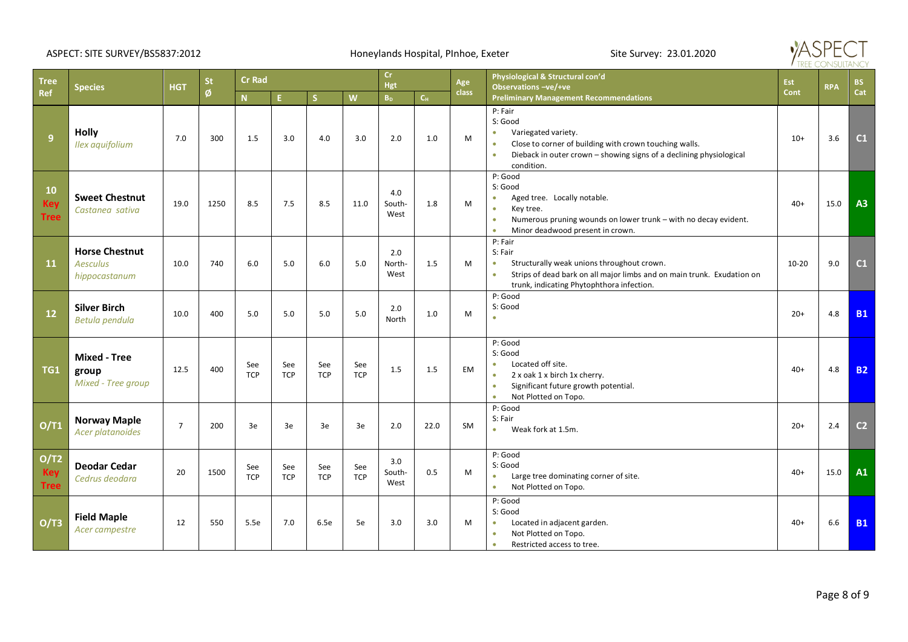### ASPECT: SITE SURVEY/BS5837:2012 <br>
Honeylands Hospital, PInhoe, Exeter Site Survey: 23.01.2020



| <b>Tree</b>                            | <b>HGT</b><br><b>Species</b>                              |                | <b>St</b> | <b>Cr Rad</b>     |                   |                         |                   |                           | <b>Cr</b><br>Hgt          |              | Physiological & Structural con'd<br>Observations -ve/+ve                                                                                                                                                                        | Est       | <b>RPA</b> | BS             |
|----------------------------------------|-----------------------------------------------------------|----------------|-----------|-------------------|-------------------|-------------------------|-------------------|---------------------------|---------------------------|--------------|---------------------------------------------------------------------------------------------------------------------------------------------------------------------------------------------------------------------------------|-----------|------------|----------------|
| Ref                                    |                                                           |                | Ø         | N                 | E.                | $\overline{\mathsf{S}}$ | W                 | $\mathbf{B}_{\mathrm{D}}$ | $\mathsf{C}_{\mathsf{H}}$ | <b>class</b> | <b>Preliminary Management Recommendations</b>                                                                                                                                                                                   | Cont      |            | Cat            |
| 9                                      | <b>Holly</b><br>Ilex aquifolium                           | 7.0            | 300       | 1.5               | 3.0               | 4.0                     | 3.0               | 2.0                       | 1.0                       | M            | P: Fair<br>S: Good<br>Variegated variety.<br>$\bullet$<br>Close to corner of building with crown touching walls.<br>$\bullet$<br>Dieback in outer crown - showing signs of a declining physiological<br>$\bullet$<br>condition. | $10+$     | 3.6        | C1             |
| <b>10</b><br><b>Key</b><br><b>Tree</b> | <b>Sweet Chestnut</b><br>Castanea sativa                  | 19.0           | 1250      | 8.5               | 7.5               | 8.5                     | 11.0              | 4.0<br>South-<br>West     | 1.8                       | M            | P: Good<br>S: Good<br>Aged tree. Locally notable.<br>٠<br>Key tree.<br>$\bullet$<br>Numerous pruning wounds on lower trunk - with no decay evident.<br>$\bullet$<br>Minor deadwood present in crown.<br>٠                       | $40+$     | 15.0       | A3             |
| 11                                     | <b>Horse Chestnut</b><br><b>Aesculus</b><br>hippocastanum | 10.0           | 740       | 6.0               | 5.0               | 6.0                     | 5.0               | 2.0<br>North-<br>West     | 1.5                       | M            | P: Fair<br>S: Fair<br>Structurally weak unions throughout crown.<br>$\bullet$<br>Strips of dead bark on all major limbs and on main trunk. Exudation on<br>$\bullet$<br>trunk, indicating Phytophthora infection.               | $10 - 20$ | 9.0        | C1             |
| 12                                     | <b>Silver Birch</b><br>Betula pendula                     | 10.0           | 400       | 5.0               | 5.0               | 5.0                     | 5.0               | 2.0<br>North              | 1.0                       | M            | P: Good<br>S: Good<br>ä                                                                                                                                                                                                         | $20+$     | 4.8        | <b>B1</b>      |
| TG1                                    | <b>Mixed - Tree</b><br>group<br>Mixed - Tree group        | 12.5           | 400       | See<br><b>TCP</b> | See<br><b>TCP</b> | See<br><b>TCP</b>       | See<br><b>TCP</b> | 1.5                       | 1.5                       | <b>EM</b>    | P: Good<br>S: Good<br>Located off site.<br>٠<br>2 x oak 1 x birch 1x cherry.<br>$\bullet$<br>Significant future growth potential.<br>$\bullet$<br>Not Plotted on Topo.<br>٠                                                     | $40+$     | 4.8        | <b>B2</b>      |
| O/T1                                   | <b>Norway Maple</b><br>Acer platanoides                   | $\overline{7}$ | 200       | 3e                | 3e                | 3e                      | 3e                | 2.0                       | 22.0                      | <b>SM</b>    | P: Good<br>S: Fair<br>Weak fork at 1.5m.<br>$\bullet$                                                                                                                                                                           | $20+$     | 2.4        | C <sub>2</sub> |
| O/T2<br><b>Key</b><br><b>Tree</b>      | <b>Deodar Cedar</b><br>Cedrus deodara                     | 20             | 1500      | See<br><b>TCP</b> | See<br><b>TCP</b> | See<br><b>TCP</b>       | See<br><b>TCP</b> | 3.0<br>South-<br>West     | 0.5                       | M            | P: Good<br>S: Good<br>Large tree dominating corner of site.<br>$\bullet$<br>Not Plotted on Topo.<br>٠                                                                                                                           | $40+$     | 15.0       | A1             |
| O/T3                                   | <b>Field Maple</b><br>Acer campestre                      | 12             | 550       | 5.5e              | 7.0               | 6.5e                    | 5e                | 3.0                       | 3.0                       | M            | P: Good<br>S: Good<br>Located in adjacent garden.<br>$\bullet$<br>Not Plotted on Topo.<br>$\bullet$<br>Restricted access to tree.<br>۰                                                                                          | $40+$     | 6.6        | <b>B1</b>      |